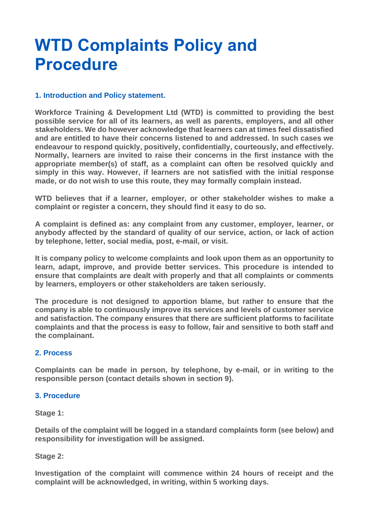# **WTD Complaints Policy and Procedure**

## **1. Introduction and Policy statement.**

**Workforce Training & Development Ltd (WTD) is committed to providing the best possible service for all of its learners, as well as parents, employers, and all other stakeholders. We do however acknowledge that learners can at times feel dissatisfied and are entitled to have their concerns listened to and addressed. In such cases we endeavour to respond quickly, positively, confidentially, courteously, and effectively. Normally, learners are invited to raise their concerns in the first instance with the appropriate member(s) of staff, as a complaint can often be resolved quickly and simply in this way. However, if learners are not satisfied with the initial response made, or do not wish to use this route, they may formally complain instead.**

**WTD believes that if a learner, employer, or other stakeholder wishes to make a complaint or register a concern, they should find it easy to do so.**

**A complaint is defined as: any complaint from any customer, employer, learner, or anybody affected by the standard of quality of our service, action, or lack of action by telephone, letter, social media, post, e-mail, or visit.**

**It is company policy to welcome complaints and look upon them as an opportunity to learn, adapt, improve, and provide better services. This procedure is intended to ensure that complaints are dealt with properly and that all complaints or comments by learners, employers or other stakeholders are taken seriously.**

**The procedure is not designed to apportion blame, but rather to ensure that the company is able to continuously improve its services and levels of customer service and satisfaction. The company ensures that there are sufficient platforms to facilitate complaints and that the process is easy to follow, fair and sensitive to both staff and the complainant.**

## **2. Process**

**Complaints can be made in person, by telephone, by e-mail, or in writing to the responsible person (contact details shown in section 9).**

## **3. Procedure**

**Stage 1:**

**Details of the complaint will be logged in a standard complaints form (see below) and responsibility for investigation will be assigned.**

## **Stage 2:**

**Investigation of the complaint will commence within 24 hours of receipt and the complaint will be acknowledged, in writing, within 5 working days.**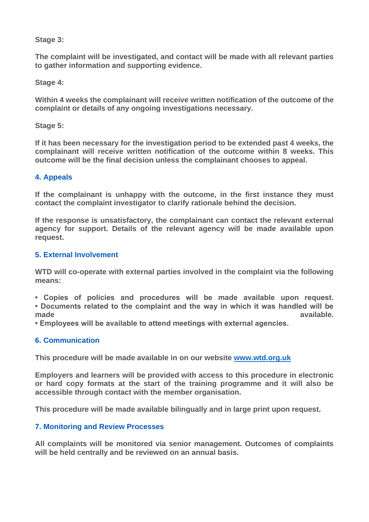## **Stage 3:**

**The complaint will be investigated, and contact will be made with all relevant parties to gather information and supporting evidence.**

**Stage 4:**

**Within 4 weeks the complainant will receive written notification of the outcome of the complaint or details of any ongoing investigations necessary.**

**Stage 5:**

**If it has been necessary for the investigation period to be extended past 4 weeks, the complainant will receive written notification of the outcome within 8 weeks. This outcome will be the final decision unless the complainant chooses to appeal.**

## **4. Appeals**

**If the complainant is unhappy with the outcome, in the first instance they must contact the complaint investigator to clarify rationale behind the decision.**

**If the response is unsatisfactory, the complainant can contact the relevant external agency for support. Details of the relevant agency will be made available upon request.**

## **5. External Involvement**

**WTD will co-operate with external parties involved in the complaint via the following means:**

**• Copies of policies and procedures will be made available upon request. • Documents related to the complaint and the way in which it was handled will be made** available.

**• Employees will be available to attend meetings with external agencies.**

## **6. Communication**

**This procedure will be made available in on our website [www.wtd.org.uk](http://www.wtd.org.uk/)**

**Employers and learners will be provided with access to this procedure in electronic or hard copy formats at the start of the training programme and it will also be accessible through contact with the member organisation.**

**This procedure will be made available bilingually and in large print upon request.**

## **7. Monitoring and Review Processes**

**All complaints will be monitored via senior management. Outcomes of complaints will be held centrally and be reviewed on an annual basis.**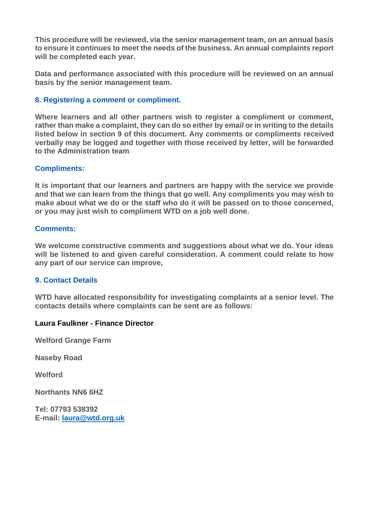**This procedure will be reviewed, via the senior management team, on an annual basis to ensure it continues to meet the needs of the business. An annual complaints report will be completed each year.**

**Data and performance associated with this procedure will be reviewed on an annual basis by the senior management team.**

## **8. Registering a comment or compliment.**

**Where learners and all other partners wish to register a compliment or comment, rather than make a complaint, they can do so either by email or in writing to the details listed below in section 9 of this document. Any comments or compliments received verbally may be logged and together with those received by letter, will be forwarded to the Administration team**

## **Compliments:**

**It is important that our learners and partners are happy with the service we provide and that we can learn from the things that go well. Any compliments you may wish to make about what we do or the staff who do it will be passed on to those concerned, or you may just wish to compliment WTD on a job well done.**

## **Comments:**

**We welcome constructive comments and suggestions about what we do. Your ideas will be listened to and given careful consideration. A comment could relate to how any part of our service can improve,**

## **9. Contact Details**

**WTD have allocated responsibility for investigating complaints at a senior level. The contacts details where complaints can be sent are as follows:**

## **Laura Faulkner - Finance Director**

**Welford Grange Farm**

**Naseby Road**

**Welford** 

**Northants NN6 6HZ**

**Tel: 07793 538392 E-mail: [laura@wtd.org.uk](mailto:laura@wtd.org.uk)**